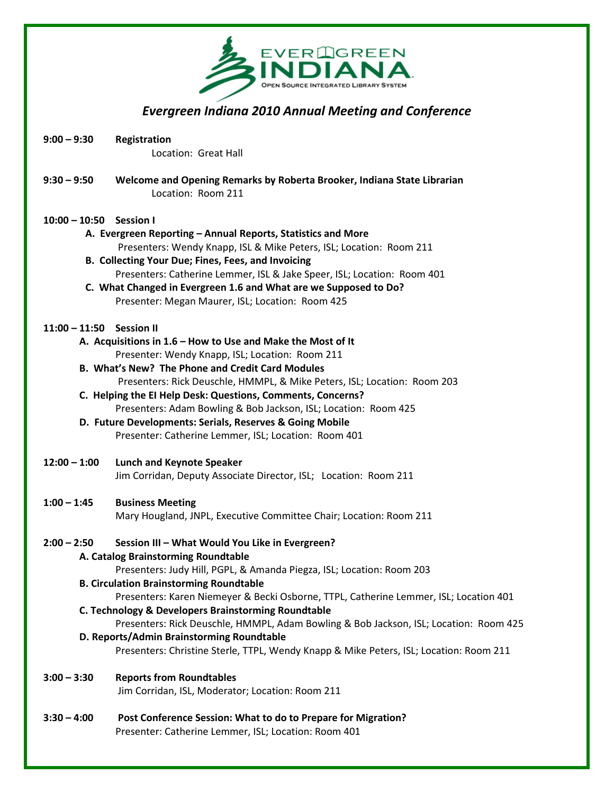

## Evergreen Indiana 2010 Annual Meeting and Conference

- 9:00 9:30 Registration Location: Great Hall
- 9:30 9:50 Welcome and Opening Remarks by Roberta Brooker, Indiana State Librarian Location: Room 211

#### 10:00 – 10:50 Session I

- A. Evergreen Reporting Annual Reports, Statistics and More Presenters: Wendy Knapp, ISL & Mike Peters, ISL; Location: Room 211
- B. Collecting Your Due; Fines, Fees, and Invoicing Presenters: Catherine Lemmer, ISL & Jake Speer, ISL; Location: Room 401
- C. What Changed in Evergreen 1.6 and What are we Supposed to Do? Presenter: Megan Maurer, ISL; Location: Room 425

#### 11:00 – 11:50 Session II

- A. Acquisitions in 1.6 How to Use and Make the Most of It Presenter: Wendy Knapp, ISL; Location: Room 211
- B. What's New? The Phone and Credit Card Modules Presenters: Rick Deuschle, HMMPL, & Mike Peters, ISL; Location: Room 203
- C. Helping the EI Help Desk: Questions, Comments, Concerns? Presenters: Adam Bowling & Bob Jackson, ISL; Location: Room 425
- D. Future Developments: Serials, Reserves & Going Mobile Presenter: Catherine Lemmer, ISL; Location: Room 401

#### 12:00 – 1:00 Lunch and Keynote Speaker

Jim Corridan, Deputy Associate Director, ISL; Location: Room 211

#### 1:00 – 1:45 Business Meeting

Mary Hougland, JNPL, Executive Committee Chair; Location: Room 211

#### 2:00 – 2:50 Session III – What Would You Like in Evergreen?

#### A. Catalog Brainstorming Roundtable

Presenters: Judy Hill, PGPL, & Amanda Piegza, ISL; Location: Room 203

#### B. Circulation Brainstorming Roundtable

Presenters: Karen Niemeyer & Becki Osborne, TTPL, Catherine Lemmer, ISL; Location 401 C. Technology & Developers Brainstorming Roundtable

Presenters: Rick Deuschle, HMMPL, Adam Bowling & Bob Jackson, ISL; Location: Room 425 D. Reports/Admin Brainstorming Roundtable

Presenters: Christine Sterle, TTPL, Wendy Knapp & Mike Peters, ISL; Location: Room 211

#### 3:00 – 3:30 Reports from Roundtables

Jim Corridan, ISL, Moderator; Location: Room 211

3:30 – 4:00 Post Conference Session: What to do to Prepare for Migration? Presenter: Catherine Lemmer, ISL; Location: Room 401